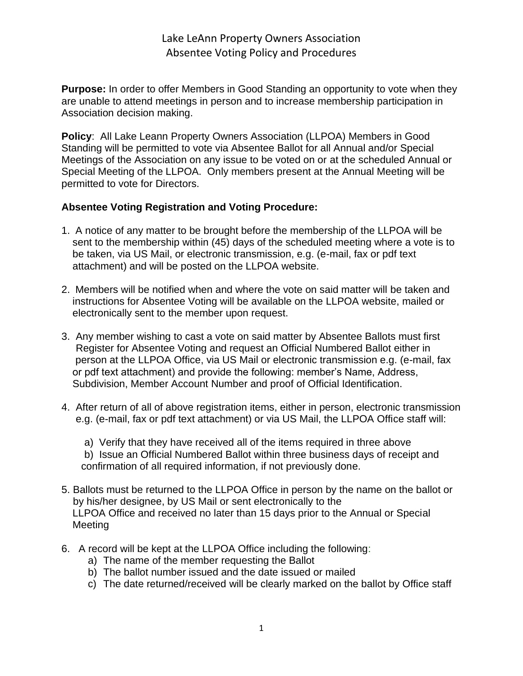Lake LeAnn Property Owners Association Absentee Voting Policy and Procedures

**Purpose:** In order to offer Members in Good Standing an opportunity to vote when they are unable to attend meetings in person and to increase membership participation in Association decision making.

**Policy**: All Lake Leann Property Owners Association (LLPOA) Members in Good Standing will be permitted to vote via Absentee Ballot for all Annual and/or Special Meetings of the Association on any issue to be voted on or at the scheduled Annual or Special Meeting of the LLPOA. Only members present at the Annual Meeting will be permitted to vote for Directors.

## **Absentee Voting Registration and Voting Procedure:**

- 1. A notice of any matter to be brought before the membership of the LLPOA will be sent to the membership within (45) days of the scheduled meeting where a vote is to be taken, via US Mail, or electronic transmission, e.g. (e-mail, fax or pdf text attachment) and will be posted on the LLPOA website.
- 2. Members will be notified when and where the vote on said matter will be taken and instructions for Absentee Voting will be available on the LLPOA website, mailed or electronically sent to the member upon request.
- 3. Any member wishing to cast a vote on said matter by Absentee Ballots must first Register for Absentee Voting and request an Official Numbered Ballot either in person at the LLPOA Office, via US Mail or electronic transmission e.g. (e-mail, fax or pdf text attachment) and provide the following: member's Name, Address, Subdivision, Member Account Number and proof of Official Identification.
- 4. After return of all of above registration items, either in person, electronic transmission e.g. (e-mail, fax or pdf text attachment) or via US Mail, the LLPOA Office staff will:
	- a) Verify that they have received all of the items required in three above
	- b) Issue an Official Numbered Ballot within three business days of receipt and confirmation of all required information, if not previously done.
- 5. Ballots must be returned to the LLPOA Office in person by the name on the ballot or by his/her designee, by US Mail or sent electronically to the LLPOA Office and received no later than 15 days prior to the Annual or Special Meeting
- 6. A record will be kept at the LLPOA Office including the following:
	- a) The name of the member requesting the Ballot
	- b) The ballot number issued and the date issued or mailed
	- c) The date returned/received will be clearly marked on the ballot by Office staff